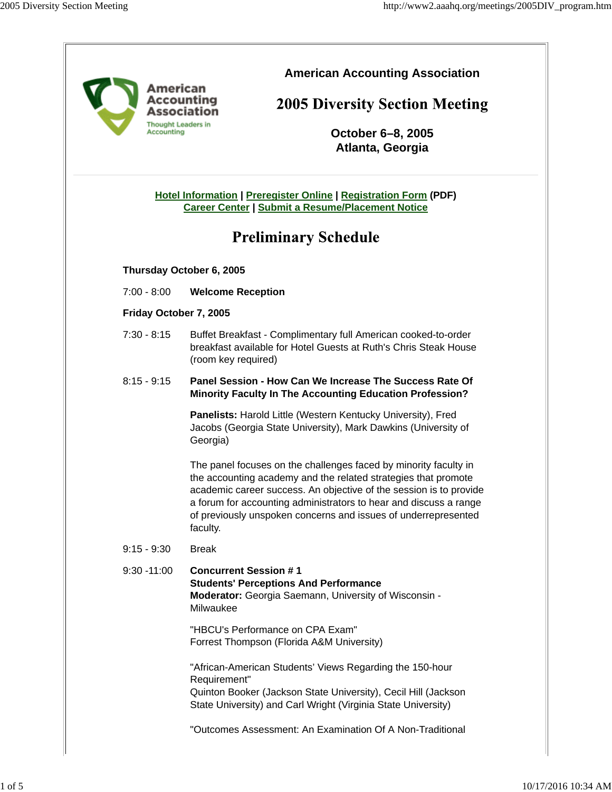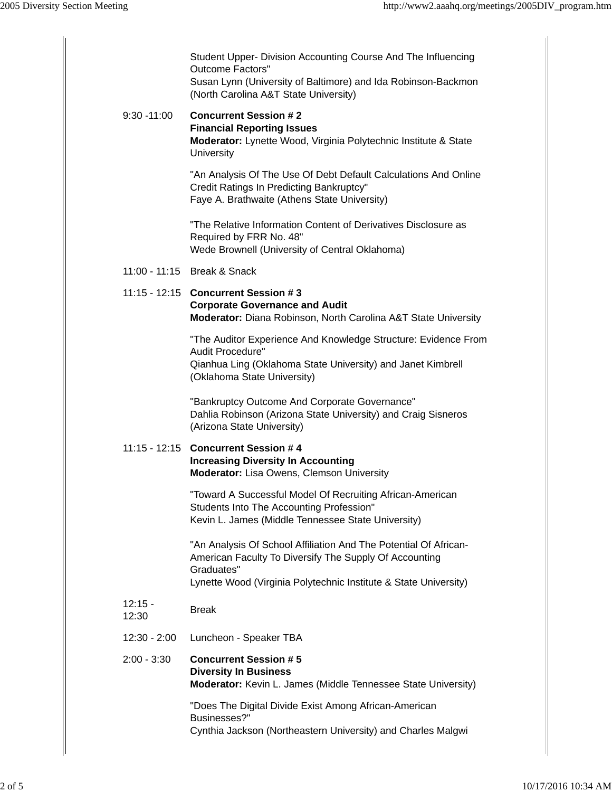|                    | Student Upper- Division Accounting Course And The Influencing<br><b>Outcome Factors"</b><br>Susan Lynn (University of Baltimore) and Ida Robinson-Backmon<br>(North Carolina A&T State University)           |
|--------------------|--------------------------------------------------------------------------------------------------------------------------------------------------------------------------------------------------------------|
| $9:30 - 11:00$     | <b>Concurrent Session #2</b><br><b>Financial Reporting Issues</b><br>Moderator: Lynette Wood, Virginia Polytechnic Institute & State<br>University                                                           |
|                    | "An Analysis Of The Use Of Debt Default Calculations And Online<br>Credit Ratings In Predicting Bankruptcy"<br>Faye A. Brathwaite (Athens State University)                                                  |
|                    | "The Relative Information Content of Derivatives Disclosure as<br>Required by FRR No. 48"<br>Wede Brownell (University of Central Oklahoma)                                                                  |
|                    | 11:00 - 11:15 Break & Snack                                                                                                                                                                                  |
|                    | 11:15 - 12:15 Concurrent Session #3<br><b>Corporate Governance and Audit</b><br>Moderator: Diana Robinson, North Carolina A&T State University                                                               |
|                    | "The Auditor Experience And Knowledge Structure: Evidence From<br>Audit Procedure"<br>Qianhua Ling (Oklahoma State University) and Janet Kimbrell<br>(Oklahoma State University)                             |
|                    | "Bankruptcy Outcome And Corporate Governance"<br>Dahlia Robinson (Arizona State University) and Craig Sisneros<br>(Arizona State University)                                                                 |
|                    | 11:15 - 12:15 Concurrent Session # 4<br><b>Increasing Diversity In Accounting</b><br>Moderator: Lisa Owens, Clemson University                                                                               |
|                    | "Toward A Successful Model Of Recruiting African-American<br>Students Into The Accounting Profession"<br>Kevin L. James (Middle Tennessee State University)                                                  |
|                    | "An Analysis Of School Affiliation And The Potential Of African-<br>American Faculty To Diversify The Supply Of Accounting<br>Graduates"<br>Lynette Wood (Virginia Polytechnic Institute & State University) |
| $12:15 -$<br>12:30 | <b>Break</b>                                                                                                                                                                                                 |
| $12:30 - 2:00$     | Luncheon - Speaker TBA                                                                                                                                                                                       |
| $2:00 - 3:30$      | <b>Concurrent Session #5</b><br><b>Diversity In Business</b><br>Moderator: Kevin L. James (Middle Tennessee State University)                                                                                |
|                    | "Does The Digital Divide Exist Among African-American<br>Businesses?"<br>Cynthia Jackson (Northeastern University) and Charles Malgwi                                                                        |
|                    |                                                                                                                                                                                                              |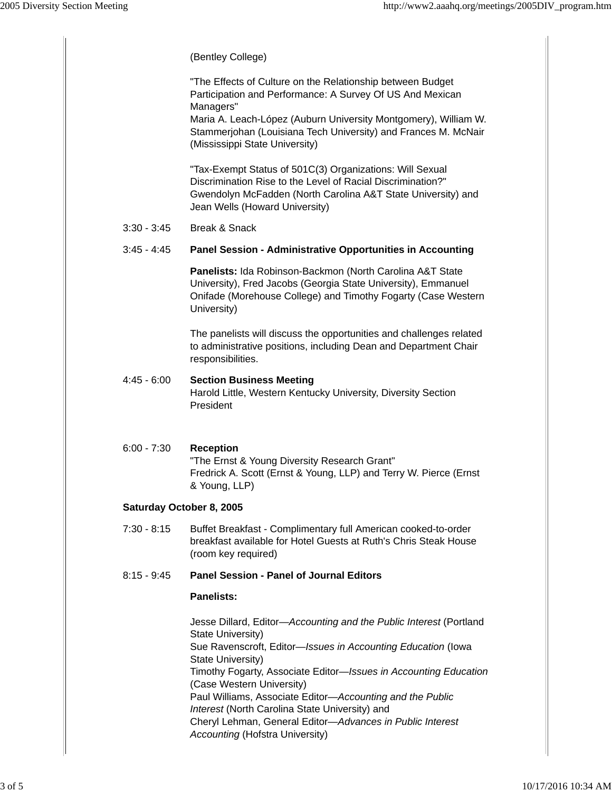|                          | (Bentley College)                                                                                                                                                                                                                                                                                                                                                                                                                                                                            |  |  |
|--------------------------|----------------------------------------------------------------------------------------------------------------------------------------------------------------------------------------------------------------------------------------------------------------------------------------------------------------------------------------------------------------------------------------------------------------------------------------------------------------------------------------------|--|--|
|                          | "The Effects of Culture on the Relationship between Budget<br>Participation and Performance: A Survey Of US And Mexican<br>Managers"<br>Maria A. Leach-López (Auburn University Montgomery), William W.                                                                                                                                                                                                                                                                                      |  |  |
|                          | Stammerjohan (Louisiana Tech University) and Frances M. McNair<br>(Mississippi State University)                                                                                                                                                                                                                                                                                                                                                                                             |  |  |
|                          | "Tax-Exempt Status of 501C(3) Organizations: Will Sexual<br>Discrimination Rise to the Level of Racial Discrimination?"<br>Gwendolyn McFadden (North Carolina A&T State University) and<br>Jean Wells (Howard University)                                                                                                                                                                                                                                                                    |  |  |
| $3:30 - 3:45$            | Break & Snack                                                                                                                                                                                                                                                                                                                                                                                                                                                                                |  |  |
| $3:45 - 4:45$            | Panel Session - Administrative Opportunities in Accounting                                                                                                                                                                                                                                                                                                                                                                                                                                   |  |  |
|                          | Panelists: Ida Robinson-Backmon (North Carolina A&T State<br>University), Fred Jacobs (Georgia State University), Emmanuel<br>Onifade (Morehouse College) and Timothy Fogarty (Case Western<br>University)                                                                                                                                                                                                                                                                                   |  |  |
|                          | The panelists will discuss the opportunities and challenges related<br>to administrative positions, including Dean and Department Chair<br>responsibilities.                                                                                                                                                                                                                                                                                                                                 |  |  |
| $4:45 - 6:00$            | <b>Section Business Meeting</b><br>Harold Little, Western Kentucky University, Diversity Section<br>President                                                                                                                                                                                                                                                                                                                                                                                |  |  |
| $6:00 - 7:30$            | <b>Reception</b><br>"The Ernst & Young Diversity Research Grant"<br>Fredrick A. Scott (Ernst & Young, LLP) and Terry W. Pierce (Ernst<br>& Young, LLP)                                                                                                                                                                                                                                                                                                                                       |  |  |
| Saturday October 8, 2005 |                                                                                                                                                                                                                                                                                                                                                                                                                                                                                              |  |  |
| $7:30 - 8:15$            | Buffet Breakfast - Complimentary full American cooked-to-order<br>breakfast available for Hotel Guests at Ruth's Chris Steak House<br>(room key required)                                                                                                                                                                                                                                                                                                                                    |  |  |
| $8:15 - 9:45$            | <b>Panel Session - Panel of Journal Editors</b>                                                                                                                                                                                                                                                                                                                                                                                                                                              |  |  |
|                          | Panelists:                                                                                                                                                                                                                                                                                                                                                                                                                                                                                   |  |  |
|                          | Jesse Dillard, Editor-Accounting and the Public Interest (Portland<br>State University)<br>Sue Ravenscroft, Editor-Issues in Accounting Education (Iowa<br>State University)<br>Timothy Fogarty, Associate Editor-Issues in Accounting Education<br>(Case Western University)<br>Paul Williams, Associate Editor-Accounting and the Public<br>Interest (North Carolina State University) and<br>Cheryl Lehman, General Editor-Advances in Public Interest<br>Accounting (Hofstra University) |  |  |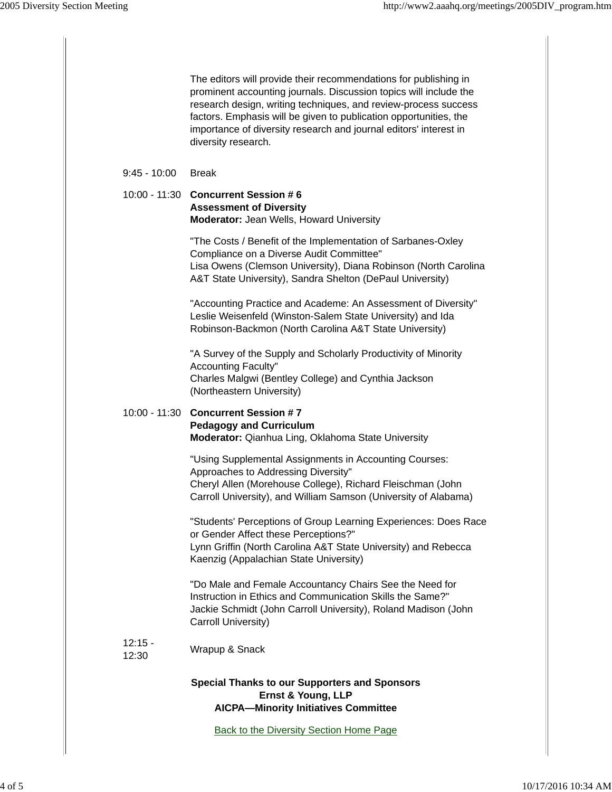|                    | The editors will provide their recommendations for publishing in<br>prominent accounting journals. Discussion topics will include the<br>research design, writing techniques, and review-process success<br>factors. Emphasis will be given to publication opportunities, the<br>importance of diversity research and journal editors' interest in<br>diversity research. |
|--------------------|---------------------------------------------------------------------------------------------------------------------------------------------------------------------------------------------------------------------------------------------------------------------------------------------------------------------------------------------------------------------------|
| $9:45 - 10:00$     | <b>Break</b>                                                                                                                                                                                                                                                                                                                                                              |
|                    | 10:00 - 11:30 Concurrent Session # 6<br><b>Assessment of Diversity</b><br><b>Moderator: Jean Wells, Howard University</b>                                                                                                                                                                                                                                                 |
|                    | "The Costs / Benefit of the Implementation of Sarbanes-Oxley<br>Compliance on a Diverse Audit Committee"<br>Lisa Owens (Clemson University), Diana Robinson (North Carolina<br>A&T State University), Sandra Shelton (DePaul University)                                                                                                                                  |
|                    | "Accounting Practice and Academe: An Assessment of Diversity"<br>Leslie Weisenfeld (Winston-Salem State University) and Ida<br>Robinson-Backmon (North Carolina A&T State University)                                                                                                                                                                                     |
|                    | "A Survey of the Supply and Scholarly Productivity of Minority<br><b>Accounting Faculty"</b><br>Charles Malgwi (Bentley College) and Cynthia Jackson<br>(Northeastern University)                                                                                                                                                                                         |
| 10:00 - 11:30      | <b>Concurrent Session #7</b><br><b>Pedagogy and Curriculum</b><br>Moderator: Qianhua Ling, Oklahoma State University                                                                                                                                                                                                                                                      |
|                    | "Using Supplemental Assignments in Accounting Courses:<br>Approaches to Addressing Diversity"<br>Cheryl Allen (Morehouse College), Richard Fleischman (John<br>Carroll University), and William Samson (University of Alabama)                                                                                                                                            |
|                    | "Students' Perceptions of Group Learning Experiences: Does Race<br>or Gender Affect these Perceptions?"<br>Lynn Griffin (North Carolina A&T State University) and Rebecca<br>Kaenzig (Appalachian State University)                                                                                                                                                       |
|                    | "Do Male and Female Accountancy Chairs See the Need for<br>Instruction in Ethics and Communication Skills the Same?"<br>Jackie Schmidt (John Carroll University), Roland Madison (John<br>Carroll University)                                                                                                                                                             |
| $12:15 -$<br>12:30 | Wrapup & Snack                                                                                                                                                                                                                                                                                                                                                            |
|                    | <b>Special Thanks to our Supporters and Sponsors</b><br>Ernst & Young, LLP<br><b>AICPA-Minority Initiatives Committee</b>                                                                                                                                                                                                                                                 |
|                    | <b>Back to the Diversity Section Home Page</b>                                                                                                                                                                                                                                                                                                                            |